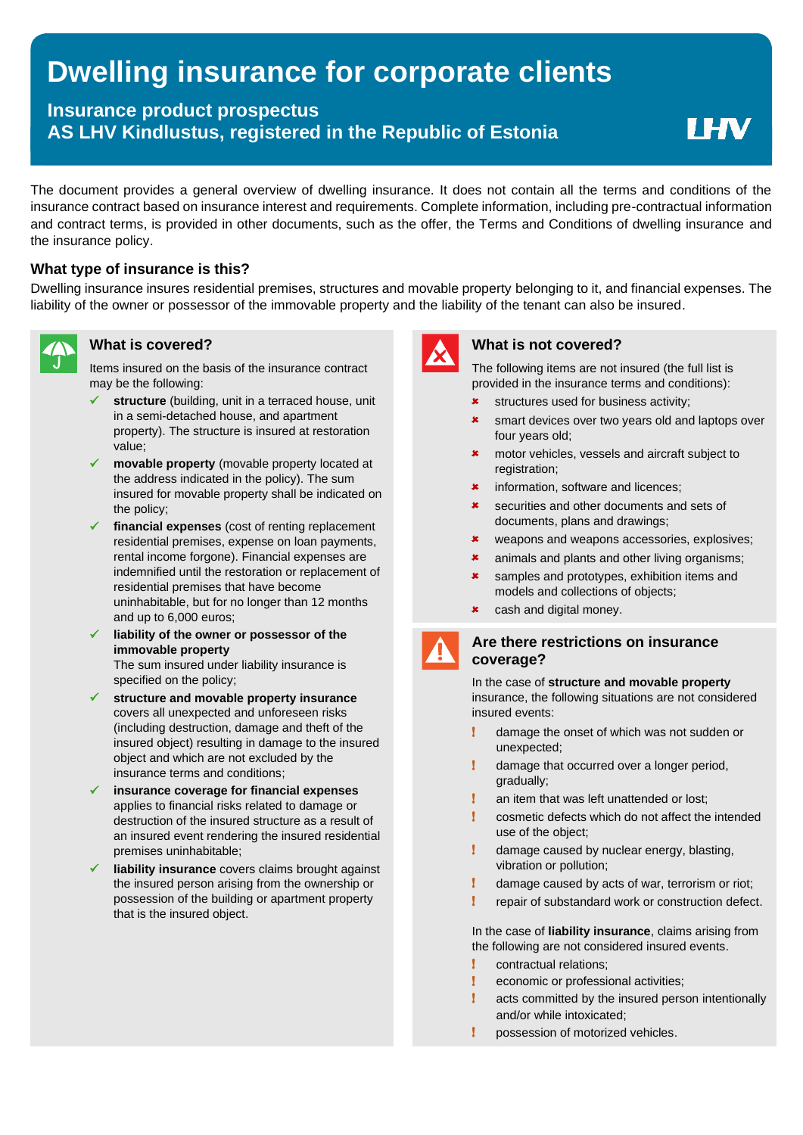# **Dwelling insurance for corporate clients**

## **Insurance product prospectus AS LHV Kindlustus, registered in the Republic of Estonia**

**I HV** 

The document provides a general overview of dwelling insurance. It does not contain all the terms and conditions of the insurance contract based on insurance interest and requirements. Complete information, including pre-contractual information and contract terms, is provided in other documents, such as the offer, the Terms and Conditions of dwelling insurance and the insurance policy.

### **What type of insurance is this?**

Dwelling insurance insures residential premises, structures and movable property belonging to it, and financial expenses. The liability of the owner or possessor of the immovable property and the liability of the tenant can also be insured.



Items insured on the basis of the insurance contract may be the following:

- structure (building, unit in a terraced house, unit in a semi-detached house, and apartment property). The structure is insured at restoration value;
- movable property (movable property located at the address indicated in the policy). The sum insured for movable property shall be indicated on the policy;
- ✓ **financial expenses** (cost of renting replacement residential premises, expense on loan payments, rental income forgone). Financial expenses are indemnified until the restoration or replacement of residential premises that have become uninhabitable, but for no longer than 12 months and up to 6,000 euros;
- ✓ **liability of the owner or possessor of the immovable property** The sum insured under liability insurance is specified on the policy;
- ✓ **structure and movable property insurance** covers all unexpected and unforeseen risks (including destruction, damage and theft of the insured object) resulting in damage to the insured object and which are not excluded by the insurance terms and conditions;
- ✓ **insurance coverage for financial expenses** applies to financial risks related to damage or destruction of the insured structure as a result of an insured event rendering the insured residential premises uninhabitable;
- **liability insurance** covers claims brought against the insured person arising from the ownership or possession of the building or apartment property that is the insured object.



#### **What is covered? What is not covered?**

The following items are not insured (the full list is provided in the insurance terms and conditions):

- $\star$  structures used for business activity;
- **\*** smart devices over two years old and laptops over four years old;
- **\*** motor vehicles, vessels and aircraft subject to registration:
- **\*** information, software and licences:
- **\*** securities and other documents and sets of documents, plans and drawings;
- **\*** weapons and weapons accessories, explosives;
- **\*** animals and plants and other living organisms;
- **\*** samples and prototypes, exhibition items and models and collections of objects;
- **\*** cash and digital money.

#### **Are there restrictions on insurance coverage?**

In the case of **structure and movable property** insurance, the following situations are not considered insured events:

- ! damage the onset of which was not sudden or unexpected;
- damage that occurred over a longer period, gradually;
- **I** an item that was left unattended or lost:
- ! cosmetic defects which do not affect the intended use of the object;
- ! damage caused by nuclear energy, blasting, vibration or pollution;
- ! damage caused by acts of war, terrorism or riot;
- repair of substandard work or construction defect.

In the case of **liability insurance**, claims arising from the following are not considered insured events.

- ! contractual relations;
- ! economic or professional activities;
- acts committed by the insured person intentionally and/or while intoxicated;
- possession of motorized vehicles.